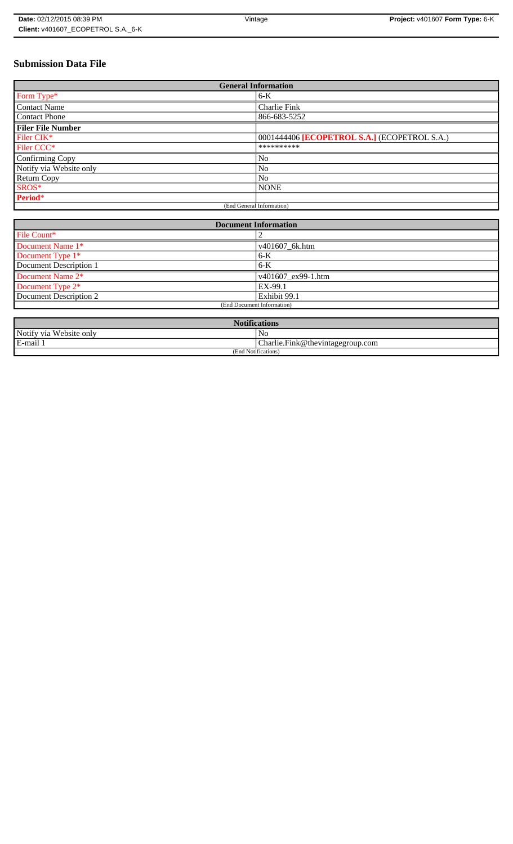# **Submission Data File**

| <b>General Information</b> |                                              |
|----------------------------|----------------------------------------------|
| Form Type*                 | $6-K$                                        |
| <b>Contact Name</b>        | Charlie Fink                                 |
| <b>Contact Phone</b>       | 866-683-5252                                 |
| <b>Filer File Number</b>   |                                              |
| Filer CIK*                 | 0001444406 [ECOPETROL S.A.] (ECOPETROL S.A.) |
| Filer CCC <sup>*</sup>     | **********                                   |
| Confirming Copy            | N <sub>o</sub>                               |
| Notify via Website only    | N <sub>o</sub>                               |
| <b>Return Copy</b>         | N <sub>o</sub>                               |
| SROS*                      | <b>NONE</b>                                  |
| Period*                    |                                              |
| (End General Information)  |                                              |

| <b>Document Information</b> |                            |
|-----------------------------|----------------------------|
| File Count*                 |                            |
| Document Name 1*            | v401607_6k.htm             |
| Document Type 1*            | $6-K$                      |
| Document Description 1      | $6-K$                      |
| Document Name 2*            | $\sqrt{401607}$ ex99-1.htm |
| Document Type 2*            | EX-99.1                    |
| Document Description 2      | Exhibit 99.1               |
| (End Document Information)  |                            |
|                             |                            |

| <b>Notifications</b>    |                                              |
|-------------------------|----------------------------------------------|
| Notify via Website only | NC                                           |
| E-mail 1                | $ {\rm Charlie,Fink@}$ the vintage group.com |
| (End Notifications)     |                                              |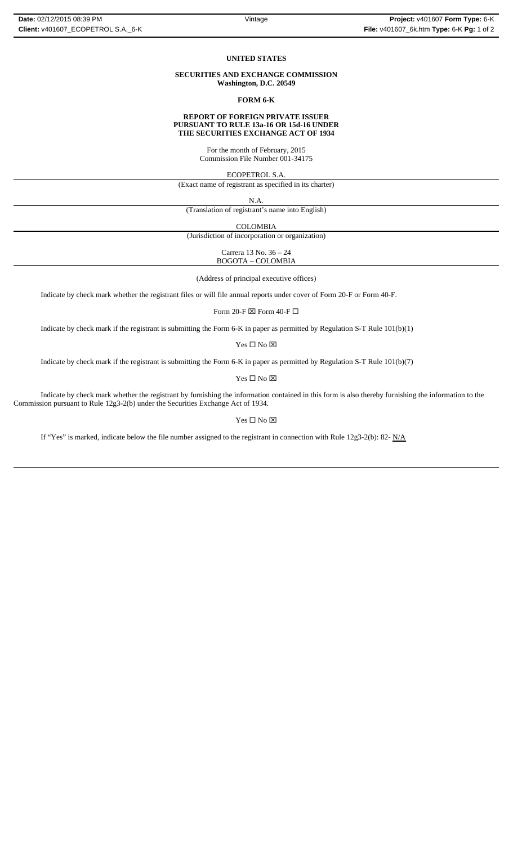#### **UNITED STATES**

### **SECURITIES AND EXCHANGE COMMISSION Washington, D.C. 20549**

**FORM 6-K**

#### **REPORT OF FOREIGN PRIVATE ISSUER PURSUANT TO RULE 13a-16 OR 15d-16 UNDER THE SECURITIES EXCHANGE ACT OF 1934**

For the month of February, 2015 Commission File Number 001-34175

ECOPETROL S.A.

(Exact name of registrant as specified in its charter)

N.A.

(Translation of registrant's name into English)

COLOMBIA

(Jurisdiction of incorporation or organization)

Carrera 13 No. 36 – 24 BOGOTA – COLOMBIA

(Address of principal executive offices)

Indicate by check mark whether the registrant files or will file annual reports under cover of Form 20-F or Form 40-F.

Form 20-F  $\boxtimes$  Form 40-F  $\Box$ 

Indicate by check mark if the registrant is submitting the Form 6-K in paper as permitted by Regulation S-T Rule 101(b)(1)

 $Yes \Box No \boxtimes$ 

Indicate by check mark if the registrant is submitting the Form 6-K in paper as permitted by Regulation S-T Rule 101(b)(7)

Yes $\Box$  No  $\boxtimes$ 

Indicate by check mark whether the registrant by furnishing the information contained in this form is also thereby furnishing the information to the Commission pursuant to Rule 12g3-2(b) under the Securities Exchange Act of 1934.

#### Yes □ No ⊠

If "Yes" is marked, indicate below the file number assigned to the registrant in connection with Rule 12g3-2(b): 82- N/A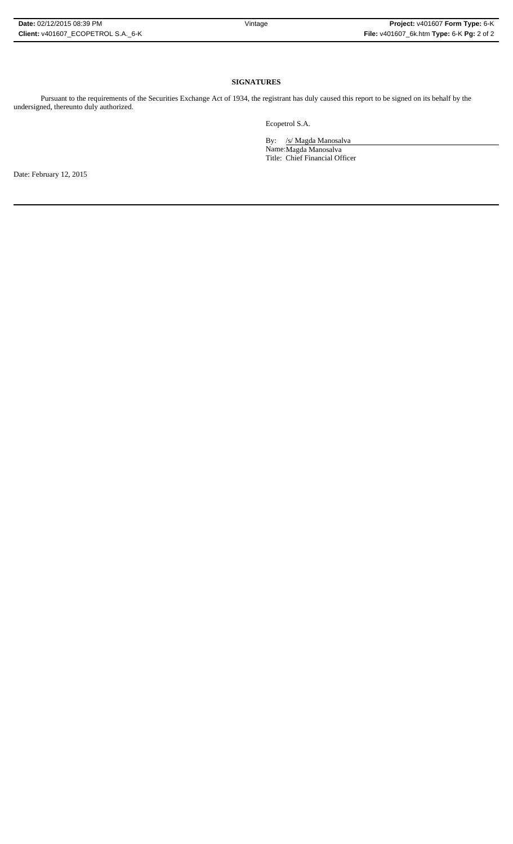**SIGNATURES**

Pursuant to the requirements of the Securities Exchange Act of 1934, the registrant has duly caused this report to be signed on its behalf by the undersigned, thereunto duly authorized.

Ecopetrol S.A.

By: /s/ Magda Manosalva Name:Magda Manosalva Title: Chief Financial Officer

Date: February 12, 2015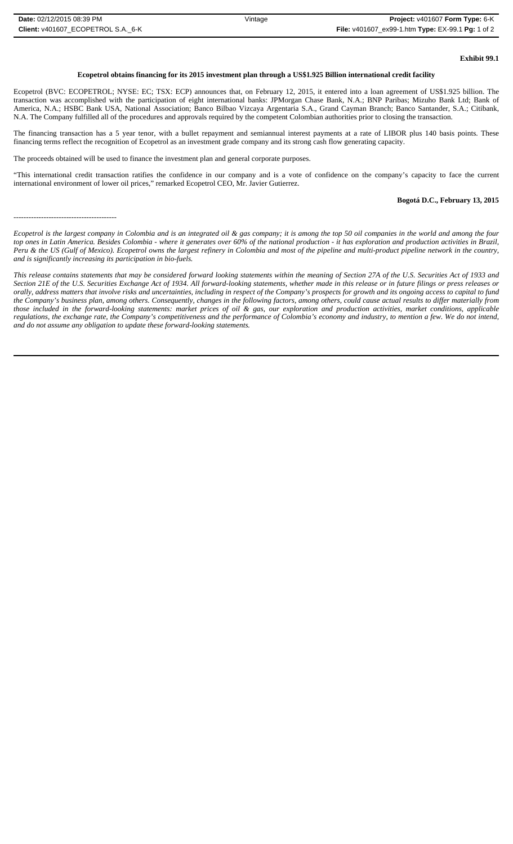# **Exhibit 99.1**

## **Ecopetrol obtains financing for its 2015 investment plan through a US\$1.925 Billion international credit facility**

Ecopetrol (BVC: ECOPETROL; NYSE: EC; TSX: ECP) announces that, on February 12, 2015, it entered into a loan agreement of US\$1.925 billion. The transaction was accomplished with the participation of eight international banks: JPMorgan Chase Bank, N.A.; BNP Paribas; Mizuho Bank Ltd; Bank of America, N.A.; HSBC Bank USA, National Association; Banco Bilbao Vizcaya Argentaria S.A., Grand Cayman Branch; Banco Santander, S.A.; Citibank, N.A. The Company fulfilled all of the procedures and approvals required by the competent Colombian authorities prior to closing the transaction.

The financing transaction has a 5 year tenor, with a bullet repayment and semiannual interest payments at a rate of LIBOR plus 140 basis points. These financing terms reflect the recognition of Ecopetrol as an investment grade company and its strong cash flow generating capacity.

The proceeds obtained will be used to finance the investment plan and general corporate purposes.

"This international credit transaction ratifies the confidence in our company and is a vote of confidence on the company's capacity to face the current international environment of lower oil prices," remarked Ecopetrol CEO, Mr. Javier Gutierrez.

# **Bogotá D.C., February 13, 2015**

-----------------------------------------

*Ecopetrol is the largest company in Colombia and is an integrated oil & gas company; it is among the top 50 oil companies in the world and among the four top ones in Latin America. Besides Colombia - where it generates over 60% of the national production - it has exploration and production activities in Brazil, Peru & the US (Gulf of Mexico). Ecopetrol owns the largest refinery in Colombia and most of the pipeline and multi-product pipeline network in the country, and is significantly increasing its participation in bio-fuels.*

*This release contains statements that may be considered forward looking statements within the meaning of Section 27A of the U.S. Securities Act of 1933 and Section 21E of the U.S. Securities Exchange Act of 1934. All forward-looking statements, whether made in this release or in future filings or press releases or orally, address matters that involve risks and uncertainties, including in respect of the Company's prospects for growth and its ongoing access to capital to fund the Company's business plan, among others. Consequently, changes in the following factors, among others, could cause actual results to differ materially from those included in the forward-looking statements: market prices of oil & gas, our exploration and production activities, market conditions, applicable regulations, the exchange rate, the Company's competitiveness and the performance of Colombia's economy and industry, to mention a few. We do not intend, and do not assume any obligation to update these forward-looking statements.*